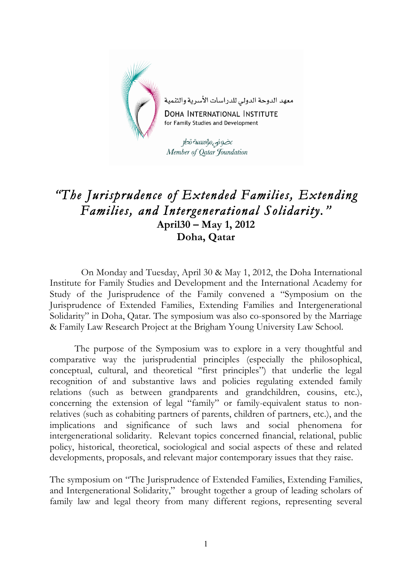

## *"The Jurisprudence of Extended Families, Extending Families, and Intergenerational Solidarity."* **April30 – May 1, 2012 Doha, Qatar**

 On Monday and Tuesday, April 30 & May 1, 2012, the Doha International Institute for Family Studies and Development and the International Academy for Study of the Jurisprudence of the Family convened a "Symposium on the Jurisprudence of Extended Families, Extending Families and Intergenerational Solidarity" in Doha, Qatar. The symposium was also co-sponsored by the Marriage & Family Law Research Project at the Brigham Young University Law School.

The purpose of the Symposium was to explore in a very thoughtful and comparative way the jurisprudential principles (especially the philosophical, conceptual, cultural, and theoretical "first principles") that underlie the legal recognition of and substantive laws and policies regulating extended family relations (such as between grandparents and grandchildren, cousins, etc.), concerning the extension of legal "family" or family-equivalent status to nonrelatives (such as cohabiting partners of parents, children of partners, etc.), and the implications and significance of such laws and social phenomena for intergenerational solidarity. Relevant topics concerned financial, relational, public policy, historical, theoretical, sociological and social aspects of these and related developments, proposals, and relevant major contemporary issues that they raise.

The symposium on "The Jurisprudence of Extended Families, Extending Families, and Intergenerational Solidarity," brought together a group of leading scholars of family law and legal theory from many different regions, representing several